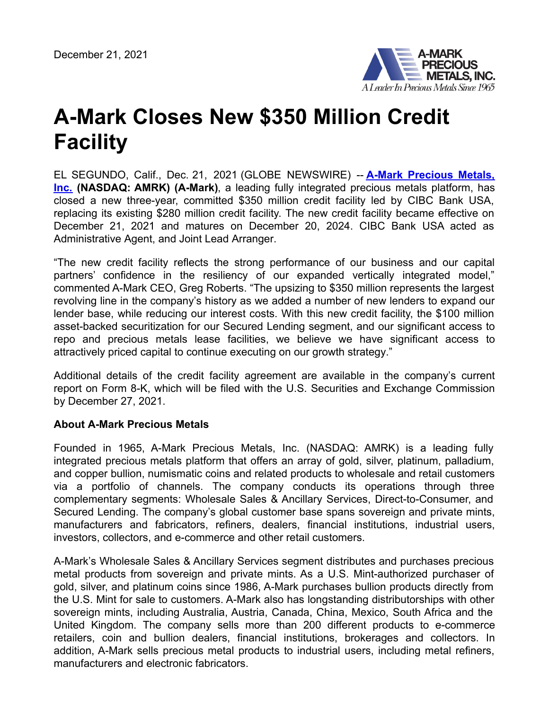

## **A-Mark Closes New \$350 Million Credit Facility**

EL SEGUNDO, Calif., Dec. 21, 2021 (GLOBE [NEWSWIRE\)](https://www.globenewswire.com/Tracker?data=VyRmNHYpMnOU2v4III1ev5OzBgl9D4ZOW8xT_BnuXEO2oQQTiGj07VtmlrXbbVsiR3ptEg9bu31ORYgEzeYiBbiWeDW6I7FKH9uDaBo5gZg=) -- **A-Mark Precious Metals, Inc. (NASDAQ: AMRK) (A-Mark)**, a leading fully integrated precious metals platform, has closed a new three-year, committed \$350 million credit facility led by CIBC Bank USA, replacing its existing \$280 million credit facility. The new credit facility became effective on December 21, 2021 and matures on December 20, 2024. CIBC Bank USA acted as Administrative Agent, and Joint Lead Arranger.

"The new credit facility reflects the strong performance of our business and our capital partners' confidence in the resiliency of our expanded vertically integrated model," commented A-Mark CEO, Greg Roberts. "The upsizing to \$350 million represents the largest revolving line in the company's history as we added a number of new lenders to expand our lender base, while reducing our interest costs. With this new credit facility, the \$100 million asset-backed securitization for our Secured Lending segment, and our significant access to repo and precious metals lease facilities, we believe we have significant access to attractively priced capital to continue executing on our growth strategy."

Additional details of the credit facility agreement are available in the company's current report on Form 8-K, which will be filed with the U.S. Securities and Exchange Commission by December 27, 2021.

## **About A-Mark Precious Metals**

Founded in 1965, A-Mark Precious Metals, Inc. (NASDAQ: AMRK) is a leading fully integrated precious metals platform that offers an array of gold, silver, platinum, palladium, and copper bullion, numismatic coins and related products to wholesale and retail customers via a portfolio of channels. The company conducts its operations through three complementary segments: Wholesale Sales & Ancillary Services, Direct-to-Consumer, and Secured Lending. The company's global customer base spans sovereign and private mints, manufacturers and fabricators, refiners, dealers, financial institutions, industrial users, investors, collectors, and e-commerce and other retail customers.

A-Mark's Wholesale Sales & Ancillary Services segment distributes and purchases precious metal products from sovereign and private mints. As a U.S. Mint-authorized purchaser of gold, silver, and platinum coins since 1986, A-Mark purchases bullion products directly from the U.S. Mint for sale to customers. A-Mark also has longstanding distributorships with other sovereign mints, including Australia, Austria, Canada, China, Mexico, South Africa and the United Kingdom. The company sells more than 200 different products to e-commerce retailers, coin and bullion dealers, financial institutions, brokerages and collectors. In addition, A-Mark sells precious metal products to industrial users, including metal refiners, manufacturers and electronic fabricators.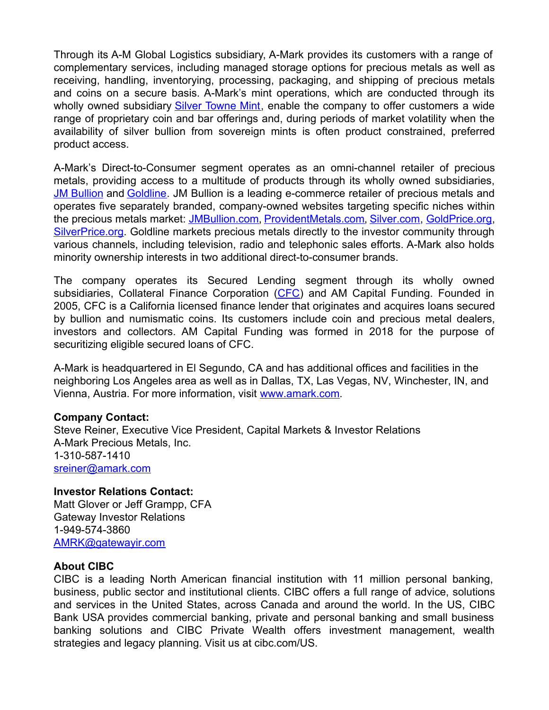Through its A-M Global Logistics subsidiary, A-Mark provides its customers with a range of complementary services, including managed storage options for precious metals as well as receiving, handling, inventorying, processing, packaging, and shipping of precious metals and coins on a secure basis. A-Mark's mint operations, which are conducted through its wholly owned subsidiary Silver [Towne](https://www.globenewswire.com/Tracker?data=07GKKsqGdJjQcq_bdx3Thqs744z1fboBxwy1oYg_vOQ7ahdgIZEY9KrKZygmw-EU7L3QvDjYF0TeT1NmIaewiwKakPZ5_f41Qq8EqOvZKE8=) Mint, enable the company to offer customers a wide range of proprietary coin and bar offerings and, during periods of market volatility when the availability of silver bullion from sovereign mints is often product constrained, preferred product access.

A-Mark's Direct-to-Consumer segment operates as an omni-channel retailer of precious metals, providing access to a multitude of products through its wholly owned subsidiaries, JM [Bullion](https://www.globenewswire.com/Tracker?data=zVEZU_pDHnyy33WvoQIfHXMZmN5imqOirOnP8ZA1UwO-SQmxyn29YaVHPYjw4T2fHVt5-ztY-BIk9x3CswdpLg==) and [Goldline](https://www.globenewswire.com/Tracker?data=aENIWeGhDn5rq1zcffWouRYH--LarlVqCOqFC0TA13IbAEzwTee8X9Ium9CVkyH-3cKdHcpMREYdgr0PyXXsYA==). JM Bullion is a leading e-commerce retailer of precious metals and operates five separately branded, company-owned websites targeting specific niches within the precious metals market: [JMBullion.com,](https://www.globenewswire.com/Tracker?data=VtYoo04mrwbH7YhvyTKFolsTZZ-SRUaIEjojP7woCqiaLz7VgrrM331ewNdTdvOSR3yvgJYwNdGzHFf_IkJYvg==) [ProvidentMetals.com](https://www.globenewswire.com/Tracker?data=fPwM_oXFymw2CAMYXUkdjCmXbQ-mizV1tNRlWyp3MrzQU9gI3LeP_L-d5z65g-c8elhjNAW0rLZNmfQB2zgZIleS86EchNbcPwMJMv7hm1Y=), [Silver.com,](https://www.globenewswire.com/Tracker?data=07GKKsqGdJjQcq_bdx3Thou4KHLl0SQ9q4sYcGMJvGQyKSU0RCYodtV2lrOkKGk6xGapUI7UYGpOCCwGb-1tRQ==) [GoldPrice.org](https://www.globenewswire.com/Tracker?data=d3CPRaz6mqq6l1tuQP3k3BeEzgMGrYazBnE9L2MdtZ-7Vf99JFeLc8_M6P4NOdO56P766r0oSYkC176WOQ79ug==), [SilverPrice.org](https://www.globenewswire.com/Tracker?data=07GKKsqGdJjQcq_bdx3ThkTguDVltGo6VsHiSZrvr3Cl3DS4J3rONSYjkDdov9BHn2sESmsQbQnk6M3iJ7G4OQ==). Goldline markets precious metals directly to the investor community through various channels, including television, radio and telephonic sales efforts. A-Mark also holds minority ownership interests in two additional direct-to-consumer brands.

The company operates its Secured Lending segment through its wholly owned subsidiaries, Collateral Finance Corporation ([CFC](https://www.globenewswire.com/Tracker?data=SKtPn0IbAFTf-UnSoQnt-K9ba6CK4JaPRdSPb4po88zh85Wi8Fn9Z8Ys9ZJxMx3nScDbwt3jgd85HJh9SrhSvw==)) and AM Capital Funding. Founded in 2005, CFC is a California licensed finance lender that originates and acquires loans secured by bullion and numismatic coins. Its customers include coin and precious metal dealers, investors and collectors. AM Capital Funding was formed in 2018 for the purpose of securitizing eligible secured loans of CFC.

A-Mark is headquartered in El Segundo, CA and has additional offices and facilities in the neighboring Los Angeles area as well as in Dallas, TX, Las Vegas, NV, Winchester, IN, and Vienna, Austria. For more information, visit [www.amark.com.](https://www.globenewswire.com/Tracker?data=HrUDcS0QA5WR0yQezSF8pORRPiy3TIPXnIGDu_s4XqqgBd8jnUy1A-EiJyrxUn05avM7T5dHGE-Kt0yA7jLJ8Q==)

## **Company Contact:**

Steve Reiner, Executive Vice President, Capital Markets & Investor Relations A-Mark Precious Metals, Inc. 1-310-587-1410 [sreiner@amark.com](https://www.globenewswire.com/Tracker?data=sF4VpB8-TY3J2GS2_vbPS3SnjkiXcl6YEQxPZhT1JlUhMihkf46tE9_VBJ76jRCjwQn0Ne70uwUwDFZxRXuQWfiyTZzEdTYr5jbX8Yv5U1s=)

**Investor Relations Contact:** Matt Glover or Jeff Grampp, CFA Gateway Investor Relations 1-949-574-3860 [AMRK@gatewayir.com](https://www.globenewswire.com/Tracker?data=h98JxXEpwuofP8VcnzKl58uhnNmWfDsSO5PKGpXj2Z7SF3v8bZYwcsoAfkOKWI32WTa-X_FDVlMgbtjtBj--IaDuCbfWJ5fbEyB76TycAY8=)

## **About CIBC**

CIBC is a leading North American financial institution with 11 million personal banking, business, public sector and institutional clients. CIBC offers a full range of advice, solutions and services in the United States, across Canada and around the world. In the US, CIBC Bank USA provides commercial banking, private and personal banking and small business banking solutions and CIBC Private Wealth offers investment management, wealth strategies and legacy planning. Visit us at cibc.com/US.